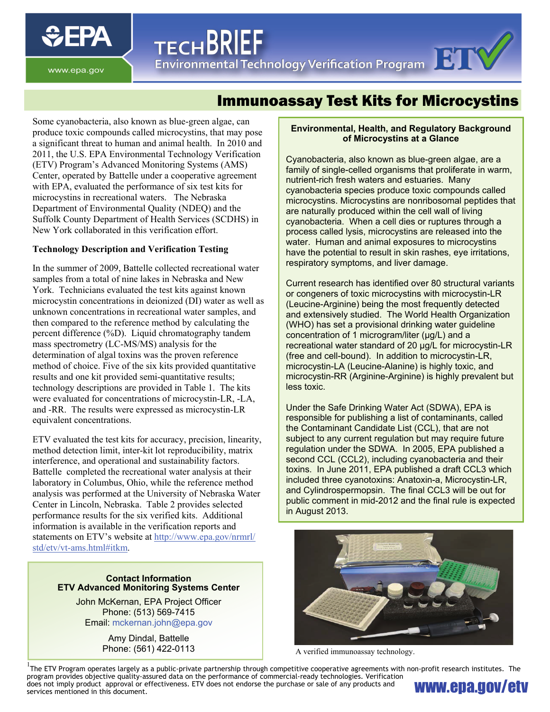

www.epa.gov

# Immunoassay Test Kits for Microcystins

ILCHDNILI<br>Environmental Technology Verification Program

Some cyanobacteria, also known as blue-green algae, can produce toxic compounds called microcystins, that may pose a significant threat to human and animal health. In 2010 and 2011, the U.S. EPA Environmental Technology Verification (ETV) Program's Advanced Monitoring Systems (AMS) Center, operated by Battelle under a cooperative agreement with EPA, evaluated the performance of six test kits for microcystins in recreational waters. The Nebraska Department of Environmental Quality (NDEQ) and the Suffolk County Department of Health Services (SCDHS) in New York collaborated in this verification effort.

**TECHBRIEF** 

## **Technology Description and Verification Testing**

In the summer of 2009, Battelle collected recreational water samples from a total of nine lakes in Nebraska and New York. Technicians evaluated the test kits against known microcystin concentrations in deionized (DI) water as well as unknown concentrations in recreational water samples, and then compared to the reference method by calculating the percent difference (%D). Liquid chromatography tandem mass spectrometry (LC-MS/MS) analysis for the determination of algal toxins was the proven reference method of choice. Five of the six kits provided quantitative results and one kit provided semi-quantitative results; technology descriptions are provided in Table 1. The kits were evaluated for concentrations of microcystin-LR, -LA, and -RR. The results were expressed as microcystin-LR equivalent concentrations.

ETV evaluated the test kits for accuracy, precision, linearity, method detection limit, inter-kit lot reproducibility, matrix interference, and operational and sustainability factors. Battelle completed the recreational water analysis at their laboratory in Columbus, Ohio, while the reference method analysis was performed at the University of Nebraska Water Center in Lincoln, Nebraska. Table 2 provides selected performance results for the six verified kits. Additional information is available in the verification reports and statements on ETV's website at [http://www.epa.gov/nrmrl/](http://www.epa.gov/nrmrl/std/etv/vt-ams.html#itkm) [std/etv/vt-ams.html#itkm](http://www.epa.gov/nrmrl/std/etv/vt-ams.html#itkm).

#### **Contact Information ETV Advanced Monitoring Systems Center**

John McKernan, EPA Project Officer Phone: (513) 569-7415 Email: mckernan.john@epa.gov

> Amy Dindal, Battelle Phone: (561) 422-0113

#### **Environmental, Health, and Regulatory Background of Microcystins at a Glance**

respiratory symptoms, and liver damage. Cyanobacteria, also known as blue-green algae, are a family of single-celled organisms that proliferate in warm, nutrient-rich fresh waters and estuaries. Many cyanobacteria species produce toxic compounds called microcystins. Microcystins are nonribosomal peptides that are naturally produced within the cell wall of living cyanobacteria. When a cell dies or ruptures through a process called lysis, microcystins are released into the water. Human and animal exposures to microcystins have the potential to result in skin rashes, eye irritations,

Current research has identified over 80 structural variants or congeners of toxic microcystins with microcystin-LR (Leucine-Arginine) being the most frequently detected and extensively studied. The World Health Organization (WHO) has set a provisional drinking water guideline concentration of 1 microgram/liter (µg/L) and a recreational water standard of 20 µg/L for microcystin-LR (free and cell-bound). In addition to microcystin-LR, microcystin-LA (Leucine-Alanine) is highly toxic, and microcystin-RR (Arginine-Arginine) is highly prevalent but less toxic.

Under the Safe Drinking Water Act (SDWA), EPA is responsible for publishing a list of contaminants, called the Contaminant Candidate List (CCL), that are not subject to any current regulation but may require future regulation under the SDWA. In 2005, EPA published a second CCL (CCL2), including cyanobacteria and their toxins. In June 2011, EPA published a draft CCL3 which included three cyanotoxins: Anatoxin-a, Microcystin-LR, and Cylindrospermopsin. The final CCL3 will be out for public comment in mid-2012 and the final rule is expected in August 2013.



A verified immunoassay technology.

 $1$ The ETV Program operates largely as a public-private partnership through competitive cooperative agreements with non-profit research institutes. The program provides objective quality-assured data on the performance of commercial-ready technologies. Verification does not imply product approval or effectiveness. ETV does not endorse the purchase or sale of any products and **WWW.CDA.GOV/CIV**<br>services mentioned in this document.